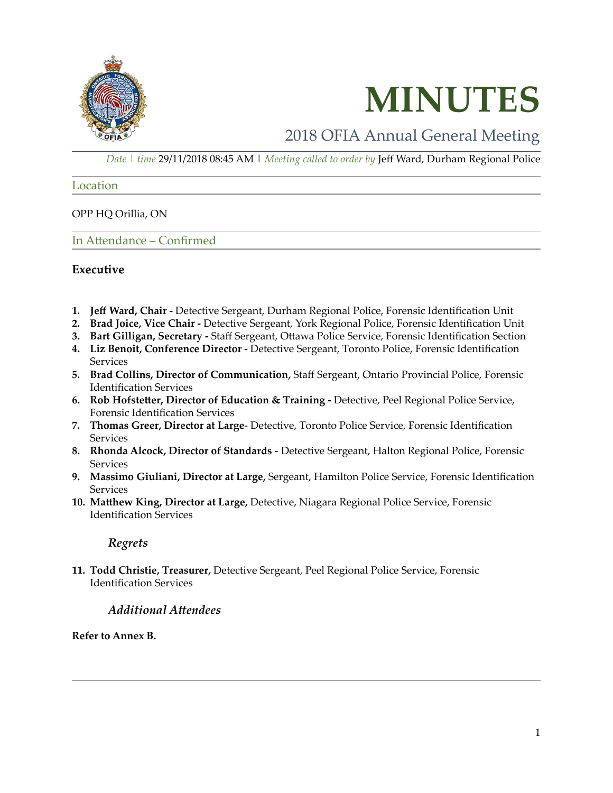



## 2018 OFIA Annual General Meeting

*Date | time* 29/11/2018 08:45 AM | *Meeting called to order by* Jeff Ward, Durham Regional Police

Location

OPP HQ Orillia, ON

In Attendance – Confirmed

#### **Executive**

- **1. Jeff Ward, Chair -** Detective Sergeant, Durham Regional Police, Forensic Identification Unit
- **2. Brad Joice, Vice Chair -** Detective Sergeant, York Regional Police, Forensic Identification Unit
- **3. Bart Gilligan, Secretary -** Staff Sergeant, Ottawa Police Service, Forensic Identification Section
- **4. Liz Benoit, Conference Director -** Detective Sergeant, Toronto Police, Forensic Identification **Services**
- **5. Brad Collins, Director of Communication,** Staff Sergeant, Ontario Provincial Police, Forensic Identification Services
- **6. Rob Hofstetter, Director of Education & Training -** Detective, Peel Regional Police Service, Forensic Identification Services
- **7. Thomas Greer, Director at Large** Detective, Toronto Police Service, Forensic Identification Services
- **8. Rhonda Alcock, Director of Standards -** Detective Sergeant, Halton Regional Police, Forensic **Services**
- **9. Massimo Giuliani, Director at Large,** Sergeant, Hamilton Police Service, Forensic Identification Services
- **10. Matthew King, Director at Large,** Detective, Niagara Regional Police Service, Forensic Identification Services

#### *Regrets*

**11. Todd Christie, Treasurer,** Detective Sergeant, Peel Regional Police Service, Forensic Identification Services

### *Additional Attendees*

**Refer to Annex B.**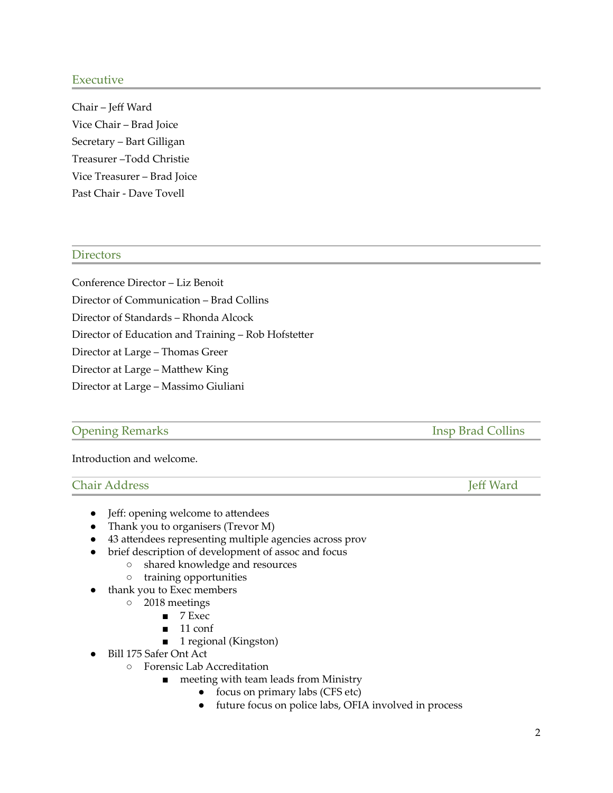#### Executive

Chair – Jeff Ward Vice Chair – Brad Joice Secretary – Bart Gilligan Treasurer –Todd Christie Vice Treasurer – Brad Joice Past Chair - Dave Tovell

#### **Directors**

Conference Director – Liz Benoit Director of Communication – Brad Collins Director of Standards – Rhonda Alcock Director of Education and Training – Rob Hofstetter Director at Large – Thomas Greer Director at Large – Matthew King Director at Large – Massimo Giuliani

#### **Opening Remarks Insp Brad Collins**

Introduction and welcome.

### Chair Address Jeff Ward

• Jeff: opening welcome to attendees

- Thank you to organisers (Trevor M)
- 43 attendees representing multiple agencies across prov
- brief description of development of assoc and focus
	- shared knowledge and resources
	- training opportunities
- thank you to Exec members
	- 2018 meetings
		- 7 Exec
		- 11 conf
		- 1 regional (Kingston)
	- Bill 175 Safer Ont Act
		- Forensic Lab Accreditation
			- meeting with team leads from Ministry
				- focus on primary labs (CFS etc)
				- future focus on police labs, OFIA involved in process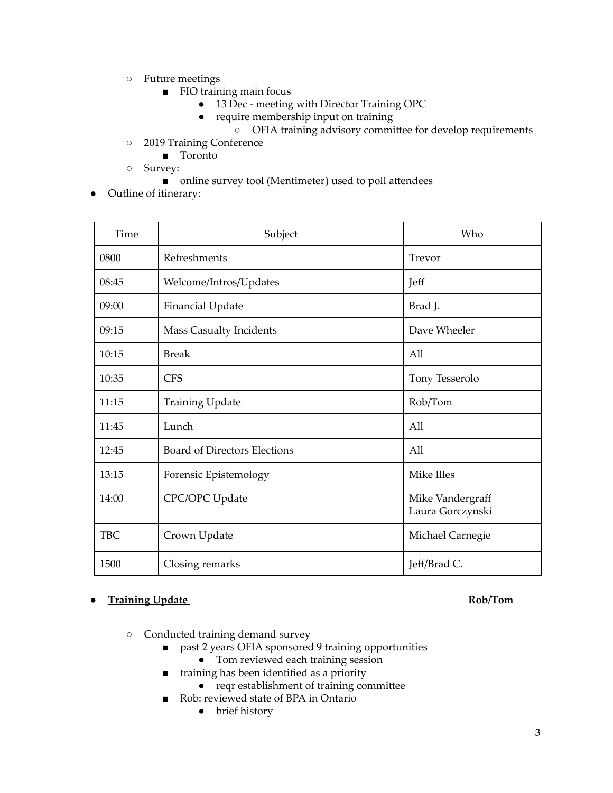- Future meetings
	- FIO training main focus
		- 13 Dec meeting with Director Training OPC
		- require membership input on training
		- OFIA training advisory committee for develop requirements
- 2019 Training Conference
	- Toronto
- Survey:
	- online survey tool (Mentimeter) used to poll attendees
- Outline of itinerary:

| Time       | Subject                             | Who                                  |
|------------|-------------------------------------|--------------------------------------|
| 0800       | Refreshments                        | Trevor                               |
| 08:45      | Welcome/Intros/Updates              | Jeff                                 |
| 09:00      | <b>Financial Update</b>             | Brad J.                              |
| 09:15      | <b>Mass Casualty Incidents</b>      | Dave Wheeler                         |
| 10:15      | <b>Break</b>                        | All                                  |
| 10:35      | <b>CFS</b>                          | Tony Tesserolo                       |
| 11:15      | <b>Training Update</b>              | Rob/Tom                              |
| 11:45      | Lunch                               | All                                  |
| 12:45      | <b>Board of Directors Elections</b> | All                                  |
| 13:15      | Forensic Epistemology               | Mike Illes                           |
| 14:00      | CPC/OPC Update                      | Mike Vandergraff<br>Laura Gorczynski |
| <b>TBC</b> | Crown Update                        | Michael Carnegie                     |
| 1500       | Closing remarks                     | Jeff/Brad C.                         |

### ● **Training Update Rob/Tom**

- Conducted training demand survey
	- past 2 years OFIA sponsored 9 training opportunities
		- Tom reviewed each training session
	- training has been identified as a priority
		- reqr establishment of training committee
	- Rob: reviewed state of BPA in Ontario
		- brief history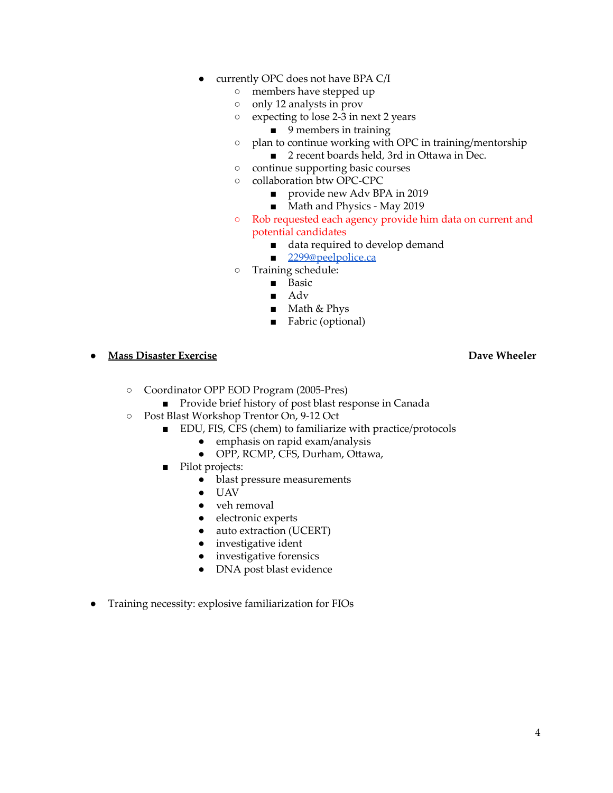- currently OPC does not have BPA C/I
	- members have stepped up
	- only 12 analysts in prov
	- expecting to lose 2-3 in next 2 years
		- 9 members in training
	- plan to continue working with OPC in training/mentorship
		- 2 recent boards held, 3rd in Ottawa in Dec.
	- continue supporting basic courses
	- collaboration btw OPC-CPC
		- provide new Adv BPA in 2019
		- Math and Physics May 2019
	- Rob requested each agency provide him data on current and potential candidates
		- data required to develop demand
		- [2299@peelpolice.ca](mailto:2299@peelpolice.ca)
	- Training schedule:
		- Basic
		- Adv
		- Math & Phys
		- Fabric (optional)
- **Mass Disaster Exercise Dave Wheeler**

- Coordinator OPP EOD Program (2005-Pres)
	- Provide brief history of post blast response in Canada
- Post Blast Workshop Trentor On, 9-12 Oct
	- EDU, FIS, CFS (chem) to familiarize with practice/protocols
		- emphasis on rapid exam/analysis
			- OPP, RCMP, CFS, Durham, Ottawa,
	- Pilot projects:
		- blast pressure measurements
		- UAV
		- veh removal
		- electronic experts
		- auto extraction (UCERT)
		- investigative ident
		- investigative forensics
		- DNA post blast evidence
- Training necessity: explosive familiarization for FIOs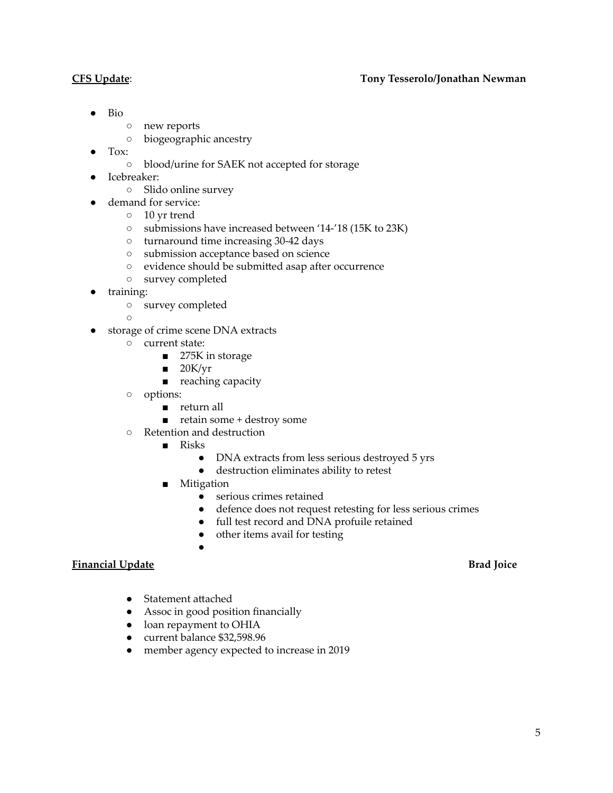#### **CFS Update**: **Tony Tesserolo/Jonathan Newman**

- Bio
- new reports
- biogeographic ancestry
- Tox:
	- blood/urine for SAEK not accepted for storage
- Icebreaker:
	- Slido online survey
- demand for service:
	- 10 yr trend
	- submissions have increased between '14-'18 (15K to 23K)
	- turnaround time increasing 30-42 days
	- submission acceptance based on science
	- evidence should be submitted asap after occurrence
	- survey completed
- training:
	- survey completed

 $\Omega$ 

- storage of crime scene DNA extracts
	- current state:
		- 275K in storage
		- $\blacksquare$  20K/yr
		- reaching capacity
	- options:
		- return all
		- retain some + destroy some
	- Retention and destruction
		- Risks
			- DNA extracts from less serious destroyed 5 yrs
			- destruction eliminates ability to retest
		- Mitigation

●

- serious crimes retained
- defence does not request retesting for less serious crimes
- full test record and DNA profuile retained
- other items avail for testing

#### **Financial Update Brad Joice**

- Statement attached
- Assoc in good position financially
- loan repayment to OHIA
- current balance \$32,598.96
- member agency expected to increase in 2019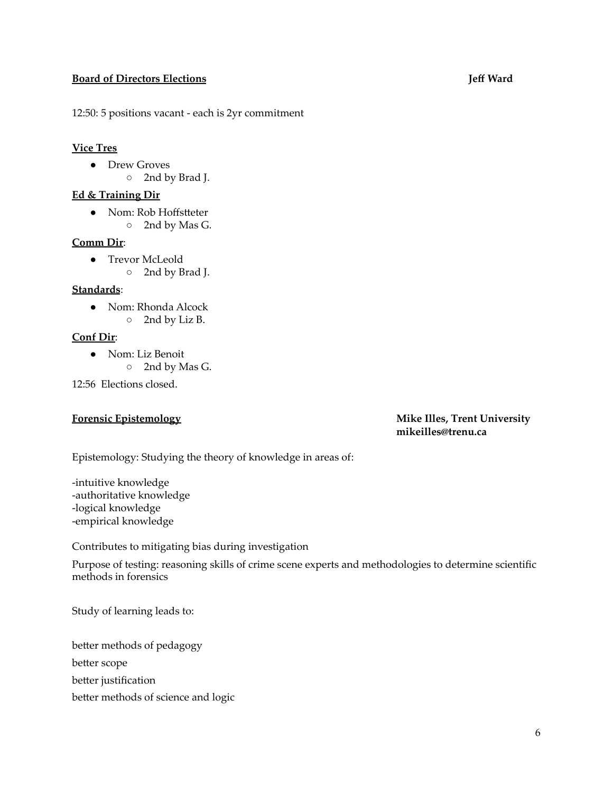#### **Board of Directors Elections Jeff Ward**

12:50: 5 positions vacant - each is 2yr commitment

#### **Vice Tres**

- Drew Groves
	- 2nd by Brad J.

### **Ed & Training Dir**

● Nom: Rob Hoffstteter ○ 2nd by Mas G.

### **Comm Dir**:

- Trevor McLeold
	- 2nd by Brad J.

#### **Standards**:

- Nom: Rhonda Alcock
	- 2nd by Liz B.

### **Conf Dir**:

- Nom: Liz Benoit
	- 2nd by Mas G.

12:56 Elections closed.

#### **Forensic Epistemology Mike Illes, Trent University mikeilles@trenu.ca**

Epistemology: Studying the theory of knowledge in areas of:

-intuitive knowledge -authoritative knowledge -logical knowledge -empirical knowledge

Contributes to mitigating bias during investigation

Purpose of testing: reasoning skills of crime scene experts and methodologies to determine scientific methods in forensics

Study of learning leads to:

better methods of pedagogy

better scope

- better justification
- better methods of science and logic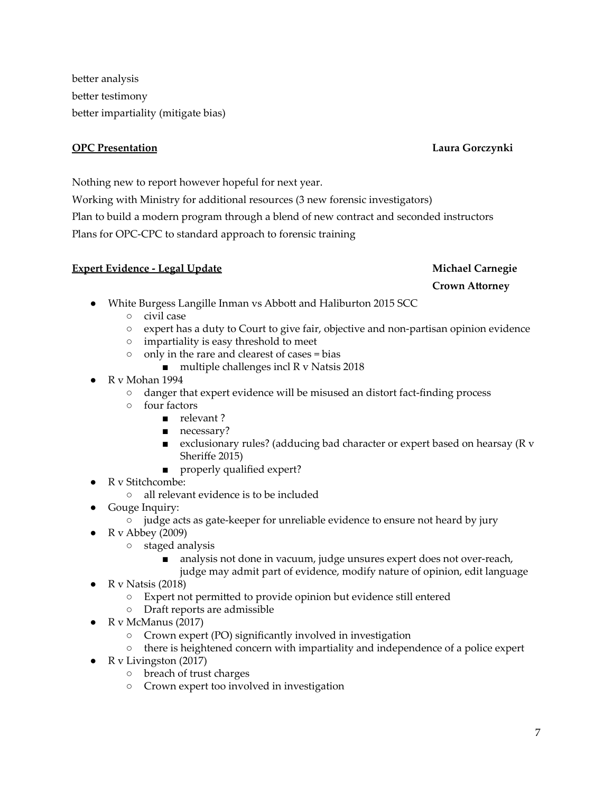better analysis better testimony better impartiality (mitigate bias)

### **OPC Presentation Laura Gorczynki**

## Nothing new to report however hopeful for next year.

Working with Ministry for additional resources (3 new forensic investigators)

Plan to build a modern program through a blend of new contract and seconded instructors

Plans for OPC-CPC to standard approach to forensic training

### **Expert Evidence - Legal Update Michael Carnegie**

### **Crown Attorney**

- White Burgess Langille Inman vs Abbott and Haliburton 2015 SCC
	- civil case
	- expert has a duty to Court to give fair, objective and non-partisan opinion evidence
	- impartiality is easy threshold to meet
	- only in the rare and clearest of cases = bias
		- $\blacksquare$  multiple challenges incl R v Natsis 2018
- R v Mohan 1994
	- danger that expert evidence will be misused an distort fact-finding process
	- four factors
		- relevant?
		- necessary?
		- exclusionary rules? (adducing bad character or expert based on hearsay (R v Sheriffe 2015)
		- properly qualified expert?
- R v Stitchcombe:
	- all relevant evidence is to be included
- Gouge Inquiry:
	- judge acts as gate-keeper for unreliable evidence to ensure not heard by jury
- $R v$  Abbey (2009)
	- staged analysis
		- analysis not done in vacuum, judge unsures expert does not over-reach,
			- judge may admit part of evidence, modify nature of opinion, edit language
- R v Natsis  $(2018)$ 
	- Expert not permitted to provide opinion but evidence still entered
	- Draft reports are admissible
- R v McManus  $(2017)$ 
	- Crown expert (PO) significantly involved in investigation
	- there is heightened concern with impartiality and independence of a police expert
- R v Livingston  $(2017)$ 
	- breach of trust charges
	- Crown expert too involved in investigation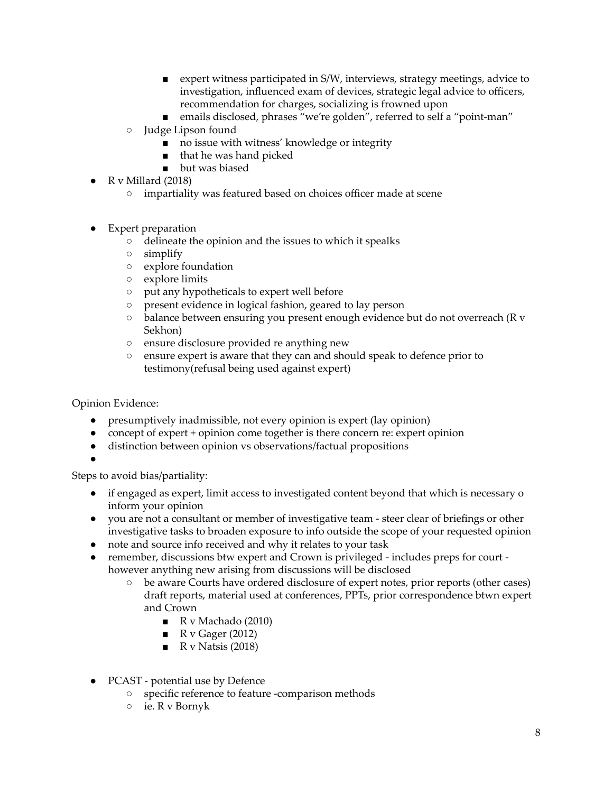- expert witness participated in S/W, interviews, strategy meetings, advice to investigation, influenced exam of devices, strategic legal advice to officers, recommendation for charges, socializing is frowned upon
- emails disclosed, phrases "we're golden", referred to self a "point-man"
- Judge Lipson found
	- no issue with witness' knowledge or integrity
	- that he was hand picked
	- but was biased
- R v Millard (2018)
	- impartiality was featured based on choices officer made at scene
- Expert preparation
	- delineate the opinion and the issues to which it spealks
	- simplify
	- explore foundation
	- explore limits
	- put any hypotheticals to expert well before
	- present evidence in logical fashion, geared to lay person
	- balance between ensuring you present enough evidence but do not overreach (R v Sekhon)
	- ensure disclosure provided re anything new
	- ensure expert is aware that they can and should speak to defence prior to testimony(refusal being used against expert)

Opinion Evidence:

- presumptively inadmissible, not every opinion is expert (lay opinion)
- concept of expert + opinion come together is there concern re: expert opinion
- distinction between opinion vs observations/factual propositions
- ●

Steps to avoid bias/partiality:

- if engaged as expert, limit access to investigated content beyond that which is necessary o inform your opinion
- you are not a consultant or member of investigative team steer clear of briefings or other investigative tasks to broaden exposure to info outside the scope of your requested opinion
- note and source info received and why it relates to your task
- remember, discussions btw expert and Crown is privileged includes preps for court however anything new arising from discussions will be disclosed
	- be aware Courts have ordered disclosure of expert notes, prior reports (other cases) draft reports, material used at conferences, PPTs, prior correspondence btwn expert and Crown
		- R v Machado (2010)
		- $\blacksquare$  R v Gager (2012)
		- $\blacksquare$  R v Natsis (2018)
- PCAST potential use by Defence
	- specific reference to feature -comparison methods
	- ie. R v Bornyk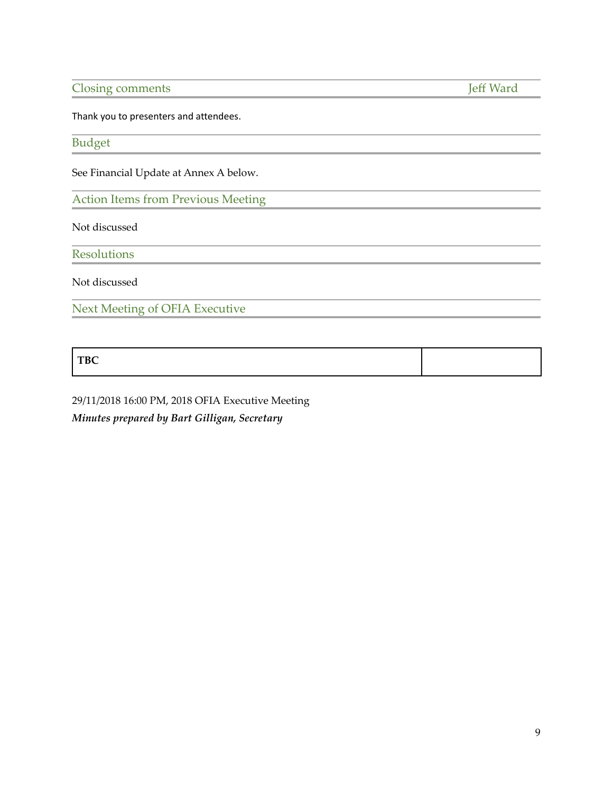Closing comments Jeff Ward

Thank you to presenters and attendees.

Budget

See Financial Update at Annex A below.

Action Items from Previous Meeting

Not discussed

**Resolutions** 

Not discussed

Next Meeting of OFIA Executive

**TBC**

29/11/2018 16:00 PM, 2018 OFIA Executive Meeting *Minutes prepared by Bart Gilligan, Secretary*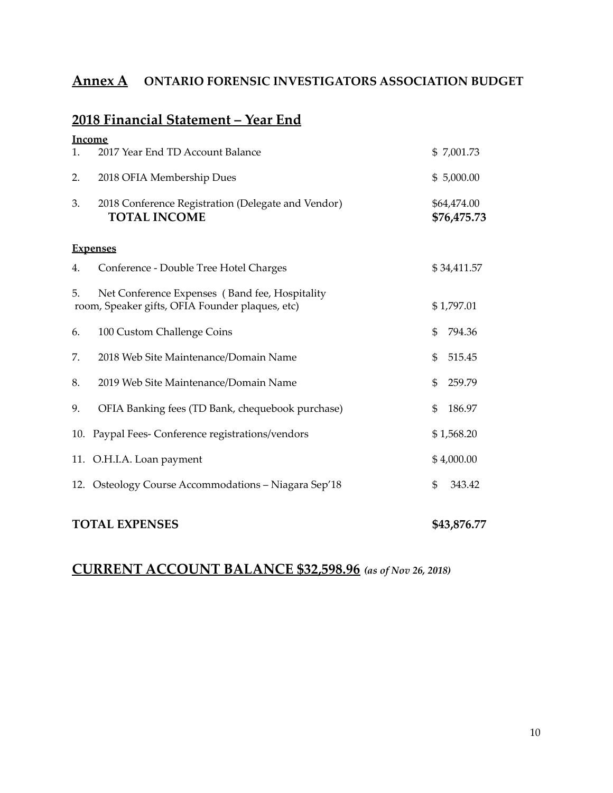## **Annex A ONTARIO FORENSIC INVESTIGATORS ASSOCIATION BUDGET**

## **2018 Financial Statement – Year End**

**Income**

| <u>income</u><br>1. | 2017 Year End TD Account Balance                                                                  | \$7,001.73                 |  |
|---------------------|---------------------------------------------------------------------------------------------------|----------------------------|--|
| 2.                  | 2018 OFIA Membership Dues                                                                         | \$5,000.00                 |  |
| 3.                  | 2018 Conference Registration (Delegate and Vendor)<br><b>TOTAL INCOME</b>                         | \$64,474.00<br>\$76,475.73 |  |
| <b>Expenses</b>     |                                                                                                   |                            |  |
| 4.                  | Conference - Double Tree Hotel Charges                                                            | \$34,411.57                |  |
| 5.                  | Net Conference Expenses (Band fee, Hospitality<br>room, Speaker gifts, OFIA Founder plaques, etc) | \$1,797.01                 |  |
| 6.                  | 100 Custom Challenge Coins                                                                        | \$<br>794.36               |  |
| 7.                  | 2018 Web Site Maintenance/Domain Name                                                             | \$<br>515.45               |  |
| 8.                  | 2019 Web Site Maintenance/Domain Name                                                             | 259.79<br>\$               |  |
| 9.                  | OFIA Banking fees (TD Bank, chequebook purchase)                                                  | \$<br>186.97               |  |
| 10.                 | Paypal Fees- Conference registrations/vendors                                                     | \$1,568.20                 |  |
|                     | 11. O.H.I.A. Loan payment                                                                         | \$4,000.00                 |  |
|                     | 12. Osteology Course Accommodations - Niagara Sep'18                                              | \$<br>343.42               |  |
|                     |                                                                                                   |                            |  |

## **TOTAL EXPENSES \$43,876.77**

## **CURRENT ACCOUNT BALANCE \$32,598.96** *(as of Nov 26, 2018)*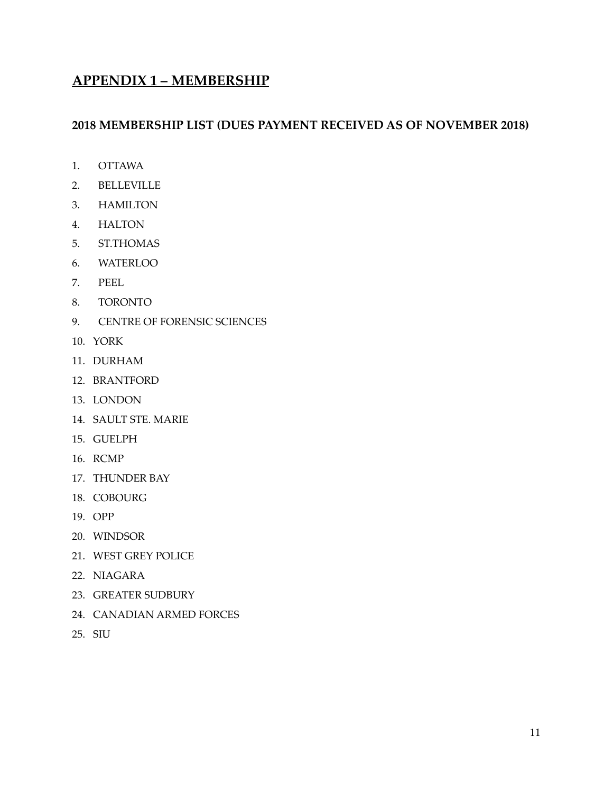## **APPENDIX 1 – MEMBERSHIP**

### **2018 MEMBERSHIP LIST (DUES PAYMENT RECEIVED AS OF NOVEMBER 2018)**

- 1. OTTAWA
- 2. BELLEVILLE
- 3. HAMILTON
- 4. HALTON
- 5. ST.THOMAS
- 6. WATERLOO
- 7. PEEL
- 8. TORONTO
- 9. CENTRE OF FORENSIC SCIENCES
- 10. YORK
- 11. DURHAM
- 12. BRANTFORD
- 13. LONDON
- 14. SAULT STE. MARIE
- 15. GUELPH
- 16. RCMP
- 17. THUNDER BAY
- 18. COBOURG
- 19. OPP
- 20. WINDSOR
- 21. WEST GREY POLICE
- 22. NIAGARA
- 23. GREATER SUDBURY
- 24. CANADIAN ARMED FORCES
- 25. SIU